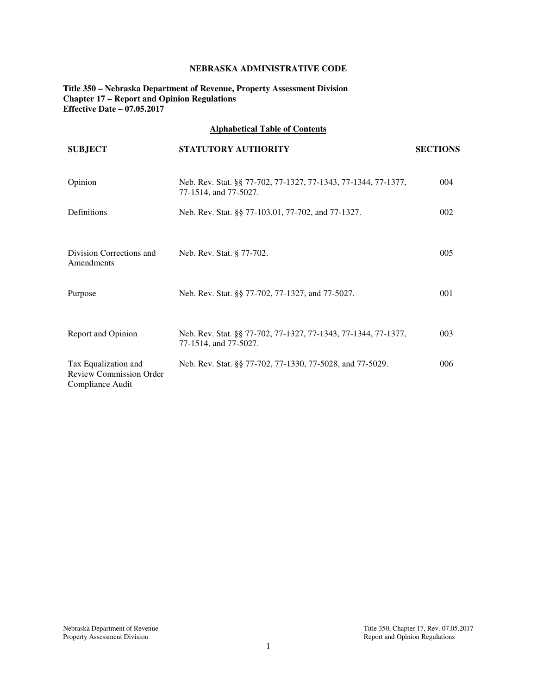## **NEBRASKA ADMINISTRATIVE CODE**

**Title 350 – Nebraska Department of Revenue, Property Assessment Division Chapter 17 – Report and Opinion Regulations Effective Date – 07.05.2017** 

# **Alphabetical Table of Contents**

| <b>SUBJECT</b>                                                             | STATUTORY AUTHORITY                                                                     | <b>SECTIONS</b> |
|----------------------------------------------------------------------------|-----------------------------------------------------------------------------------------|-----------------|
| Opinion                                                                    | Neb. Rev. Stat. §§ 77-702, 77-1327, 77-1343, 77-1344, 77-1377,<br>77-1514, and 77-5027. | 004             |
| Definitions                                                                | Neb. Rev. Stat. §§ 77-103.01, 77-702, and 77-1327.                                      | 002             |
| Division Corrections and<br>Amendments                                     | Neb. Rev. Stat. § 77-702.                                                               | 005             |
| Purpose                                                                    | Neb. Rev. Stat. §§ 77-702, 77-1327, and 77-5027.                                        | 001             |
| Report and Opinion                                                         | Neb. Rev. Stat. §§ 77-702, 77-1327, 77-1343, 77-1344, 77-1377,<br>77-1514, and 77-5027. | 003             |
| Tax Equalization and<br><b>Review Commission Order</b><br>Compliance Audit | Neb. Rev. Stat. §§ 77-702, 77-1330, 77-5028, and 77-5029.                               | 006             |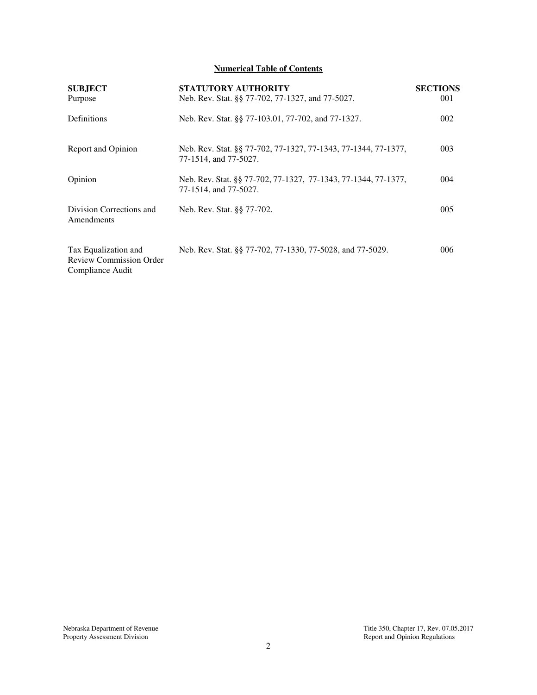# **Numerical Table of Contents**

| <b>SUBJECT</b><br>Purpose                                           | STATUTORY AUTHORITY<br>Neb. Rev. Stat. §§ 77-702, 77-1327, and 77-5027.                 | <b>SECTIONS</b><br>001 |
|---------------------------------------------------------------------|-----------------------------------------------------------------------------------------|------------------------|
| Definitions                                                         | Neb. Rev. Stat. §§ 77-103.01, 77-702, and 77-1327.                                      | 002                    |
| Report and Opinion                                                  | Neb. Rev. Stat. §§ 77-702, 77-1327, 77-1343, 77-1344, 77-1377,<br>77-1514, and 77-5027. | 003                    |
| Opinion                                                             | Neb. Rev. Stat. §§ 77-702, 77-1327, 77-1343, 77-1344, 77-1377,<br>77-1514, and 77-5027. | 004                    |
| Division Corrections and<br>Amendments                              | Neb. Rev. Stat. §§ 77-702.                                                              | 005                    |
| Tax Equalization and<br>Review Commission Order<br>Compliance Audit | Neb. Rev. Stat. §§ 77-702, 77-1330, 77-5028, and 77-5029.                               | 006                    |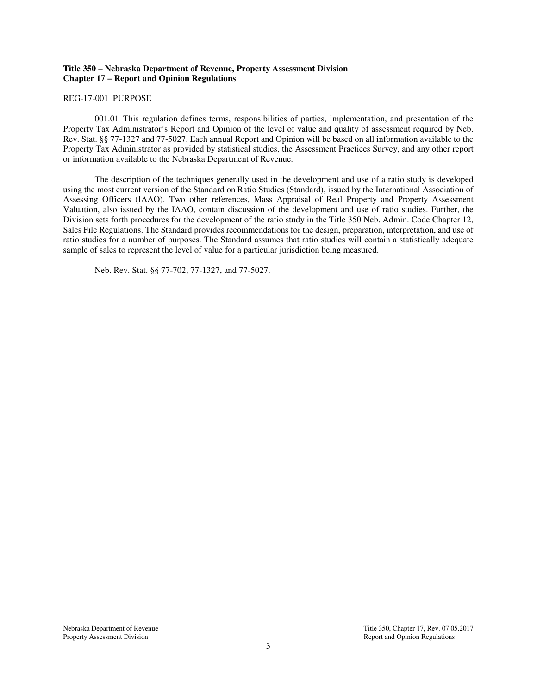## **Title 350 – Nebraska Department of Revenue, Property Assessment Division Chapter 17 – Report and Opinion Regulations**

REG-17-001 PURPOSE

001.01 This regulation defines terms, responsibilities of parties, implementation, and presentation of the Property Tax Administrator's Report and Opinion of the level of value and quality of assessment required by Neb. Rev. Stat. §§ 77-1327 and 77-5027. Each annual Report and Opinion will be based on all information available to the Property Tax Administrator as provided by statistical studies, the Assessment Practices Survey, and any other report or information available to the Nebraska Department of Revenue.

The description of the techniques generally used in the development and use of a ratio study is developed using the most current version of the Standard on Ratio Studies (Standard), issued by the International Association of Assessing Officers (IAAO). Two other references, Mass Appraisal of Real Property and Property Assessment Valuation, also issued by the IAAO, contain discussion of the development and use of ratio studies. Further, the Division sets forth procedures for the development of the ratio study in the Title 350 Neb. Admin. Code Chapter 12, Sales File Regulations. The Standard provides recommendations for the design, preparation, interpretation, and use of ratio studies for a number of purposes. The Standard assumes that ratio studies will contain a statistically adequate sample of sales to represent the level of value for a particular jurisdiction being measured.

Neb. Rev. Stat. §§ 77-702, 77-1327, and 77-5027.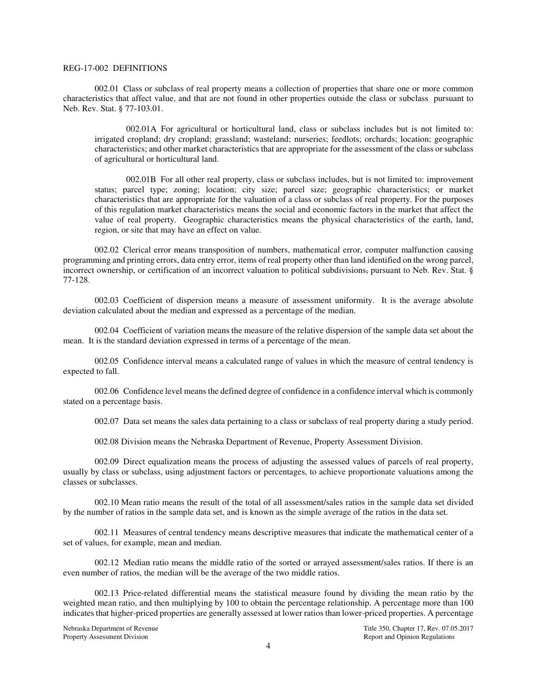#### REG-17-002 DEFINITIONS

002.01 Class or subclass of real property means a collection of properties that share one or more common characteristics that affect value, and that are not found in other properties outside the class or subclass pursuant to Neb. Rev. Stat. § 77-103.01.

002.01A For agricultural or horticultural land, class or subclass includes but is not limited to: irrigated cropland; dry cropland; grassland; wasteland; nurseries; feedlots; orchards; location; geographic characteristics; and other market characteristics that are appropriate for the assessment of the class or subclass of agricultural or horticultural land.

002.01B For all other real property, class or subclass includes, but is not limited to: improvement status; parcel type; zoning; location; city size; parcel size; geographic characteristics; or market characteristics that are appropriate for the valuation of a class or subclass of real property. For the purposes of this regulation market characteristics means the social and economic factors in the market that affect the value of real property. Geographic characteristics means the physical characteristics of the earth, land, region, or site that may have an effect on value.

002.02 Clerical error means transposition of numbers, mathematical error, computer malfunction causing programming and printing errors, data entry error, items of real property other than land identified on the wrong parcel, incorrect ownership, or certification of an incorrect valuation to political subdivisions, pursuant to Neb. Rev. Stat. § 77-128.

002.03 Coefficient of dispersion means a measure of assessment uniformity. It is the average absolute deviation calculated about the median and expressed as a percentage of the median.

002.04 Coefficient of variation means the measure of the relative dispersion of the sample data set about the mean. It is the standard deviation expressed in terms of a percentage of the mean.

002.05 Confidence interval means a calculated range of values in which the measure of central tendency is expected to fall.

002.06 Confidence level means the defined degree of confidence in a confidence interval which is commonly stated on a percentage basis.

002.07 Data set means the sales data pertaining to a class or subclass of real property during a study period.

002.08 Division means the Nebraska Department of Revenue, Property Assessment Division.

002.09 Direct equalization means the process of adjusting the assessed values of parcels of real property, usually by class or subclass, using adjustment factors or percentages, to achieve proportionate valuations among the classes or subclasses.

002.10 Mean ratio means the result of the total of all assessment/sales ratios in the sample data set divided by the number of ratios in the sample data set, and is known as the simple average of the ratios in the data set.

002.11 Measures of central tendency means descriptive measures that indicate the mathematical center of a set of values, for example, mean and median.

002.12 Median ratio means the middle ratio of the sorted or arrayed assessment/sales ratios. If there is an even number of ratios, the median will be the average of the two middle ratios.

002.13 Price-related differential means the statistical measure found by dividing the mean ratio by the weighted mean ratio, and then multiplying by 100 to obtain the percentage relationship. A percentage more than 100 indicates that higher-priced properties are generally assessed at lower ratios than lower-priced properties. A percentage

Nebraska Department of Revenue Title 350, Chapter 17, Rev. 07.05.2017<br>Property Assessment Division and Chapter 17, Rev. 07.05.2017 Report and Opinion Regulations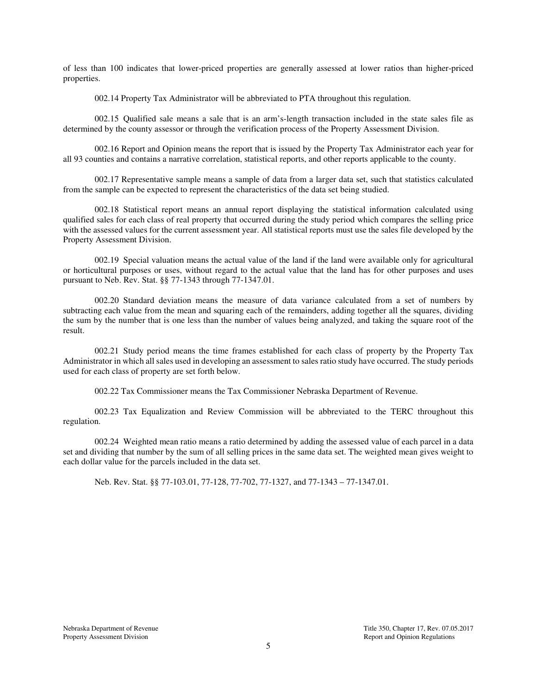of less than 100 indicates that lower-priced properties are generally assessed at lower ratios than higher-priced properties.

002.14 Property Tax Administrator will be abbreviated to PTA throughout this regulation.

002.15 Qualified sale means a sale that is an arm's-length transaction included in the state sales file as determined by the county assessor or through the verification process of the Property Assessment Division.

 002.16 Report and Opinion means the report that is issued by the Property Tax Administrator each year for all 93 counties and contains a narrative correlation, statistical reports, and other reports applicable to the county.

 002.17 Representative sample means a sample of data from a larger data set, such that statistics calculated from the sample can be expected to represent the characteristics of the data set being studied.

002.18 Statistical report means an annual report displaying the statistical information calculated using qualified sales for each class of real property that occurred during the study period which compares the selling price with the assessed values for the current assessment year. All statistical reports must use the sales file developed by the Property Assessment Division.

002.19 Special valuation means the actual value of the land if the land were available only for agricultural or horticultural purposes or uses, without regard to the actual value that the land has for other purposes and uses pursuant to Neb. Rev. Stat. §§ 77-1343 through 77-1347.01.

002.20 Standard deviation means the measure of data variance calculated from a set of numbers by subtracting each value from the mean and squaring each of the remainders, adding together all the squares, dividing the sum by the number that is one less than the number of values being analyzed, and taking the square root of the result.

002.21 Study period means the time frames established for each class of property by the Property Tax Administrator in which all sales used in developing an assessment to sales ratio study have occurred. The study periods used for each class of property are set forth below.

002.22 Tax Commissioner means the Tax Commissioner Nebraska Department of Revenue.

 002.23 Tax Equalization and Review Commission will be abbreviated to the TERC throughout this regulation.

002.24 Weighted mean ratio means a ratio determined by adding the assessed value of each parcel in a data set and dividing that number by the sum of all selling prices in the same data set. The weighted mean gives weight to each dollar value for the parcels included in the data set.

Neb. Rev. Stat. §§ 77-103.01, 77-128, 77-702, 77-1327, and 77-1343 – 77-1347.01.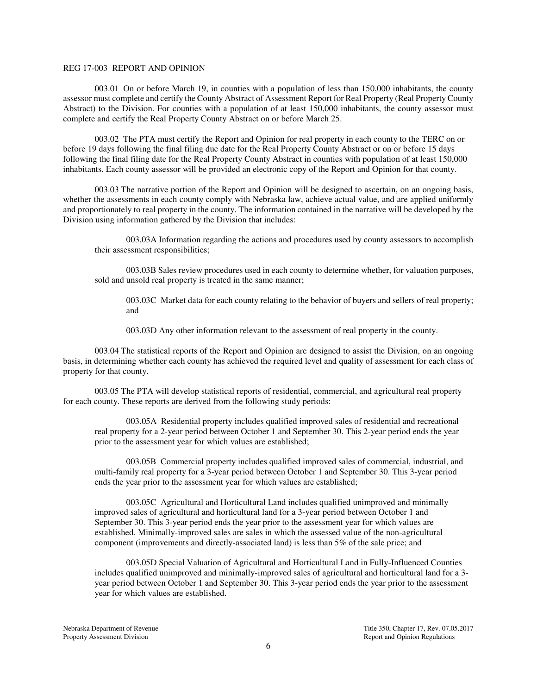### REG 17-003 REPORT AND OPINION

003.01 On or before March 19, in counties with a population of less than 150,000 inhabitants, the county assessor must complete and certify the County Abstract of Assessment Report for Real Property (Real Property County Abstract) to the Division. For counties with a population of at least 150,000 inhabitants, the county assessor must complete and certify the Real Property County Abstract on or before March 25.

003.02 The PTA must certify the Report and Opinion for real property in each county to the TERC on or before 19 days following the final filing due date for the Real Property County Abstract or on or before 15 days following the final filing date for the Real Property County Abstract in counties with population of at least 150,000 inhabitants. Each county assessor will be provided an electronic copy of the Report and Opinion for that county.

003.03 The narrative portion of the Report and Opinion will be designed to ascertain, on an ongoing basis, whether the assessments in each county comply with Nebraska law, achieve actual value, and are applied uniformly and proportionately to real property in the county. The information contained in the narrative will be developed by the Division using information gathered by the Division that includes:

003.03A Information regarding the actions and procedures used by county assessors to accomplish their assessment responsibilities;

003.03B Sales review procedures used in each county to determine whether, for valuation purposes, sold and unsold real property is treated in the same manner;

003.03C Market data for each county relating to the behavior of buyers and sellers of real property; and

003.03D Any other information relevant to the assessment of real property in the county.

003.04 The statistical reports of the Report and Opinion are designed to assist the Division, on an ongoing basis, in determining whether each county has achieved the required level and quality of assessment for each class of property for that county.

003.05 The PTA will develop statistical reports of residential, commercial, and agricultural real property for each county. These reports are derived from the following study periods:

003.05A Residential property includes qualified improved sales of residential and recreational real property for a 2-year period between October 1 and September 30. This 2-year period ends the year prior to the assessment year for which values are established;

003.05B Commercial property includes qualified improved sales of commercial, industrial, and multi-family real property for a 3-year period between October 1 and September 30. This 3-year period ends the year prior to the assessment year for which values are established;

003.05C Agricultural and Horticultural Land includes qualified unimproved and minimally improved sales of agricultural and horticultural land for a 3-year period between October 1 and September 30. This 3-year period ends the year prior to the assessment year for which values are established. Minimally-improved sales are sales in which the assessed value of the non-agricultural component (improvements and directly-associated land) is less than 5% of the sale price; and

003.05D Special Valuation of Agricultural and Horticultural Land in Fully-Influenced Counties includes qualified unimproved and minimally-improved sales of agricultural and horticultural land for a 3 year period between October 1 and September 30. This 3-year period ends the year prior to the assessment year for which values are established.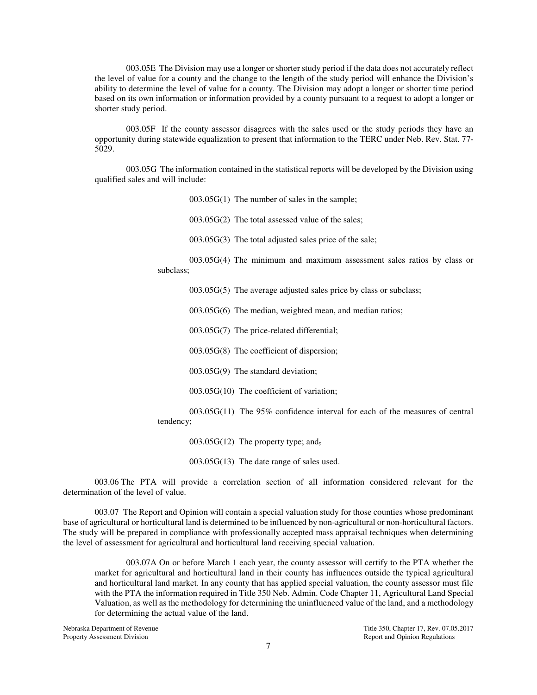003.05E The Division may use a longer or shorter study period if the data does not accurately reflect the level of value for a county and the change to the length of the study period will enhance the Division's ability to determine the level of value for a county. The Division may adopt a longer or shorter time period based on its own information or information provided by a county pursuant to a request to adopt a longer or shorter study period.

003.05F If the county assessor disagrees with the sales used or the study periods they have an opportunity during statewide equalization to present that information to the TERC under Neb. Rev. Stat. 77- 5029.

003.05G The information contained in the statistical reports will be developed by the Division using qualified sales and will include:

> 003.05G(1) The number of sales in the sample; 003.05G(2) The total assessed value of the sales; 003.05G(3) The total adjusted sales price of the sale; 003.05G(4) The minimum and maximum assessment sales ratios by class or subclass; 003.05G(5) The average adjusted sales price by class or subclass; 003.05G(6) The median, weighted mean, and median ratios; 003.05G(7) The price-related differential; 003.05G(8) The coefficient of dispersion; 003.05G(9) The standard deviation;

003.05G(10) The coefficient of variation;

003.05G(11) The 95% confidence interval for each of the measures of central tendency;

 $003.05G(12)$  The property type; and,

003.05G(13) The date range of sales used.

003.06 The PTA will provide a correlation section of all information considered relevant for the determination of the level of value.

003.07 The Report and Opinion will contain a special valuation study for those counties whose predominant base of agricultural or horticultural land is determined to be influenced by non-agricultural or non-horticultural factors. The study will be prepared in compliance with professionally accepted mass appraisal techniques when determining the level of assessment for agricultural and horticultural land receiving special valuation.

003.07A On or before March 1 each year, the county assessor will certify to the PTA whether the market for agricultural and horticultural land in their county has influences outside the typical agricultural and horticultural land market. In any county that has applied special valuation, the county assessor must file with the PTA the information required in Title 350 Neb. Admin. Code Chapter 11, Agricultural Land Special Valuation, as well as the methodology for determining the uninfluenced value of the land, and a methodology for determining the actual value of the land.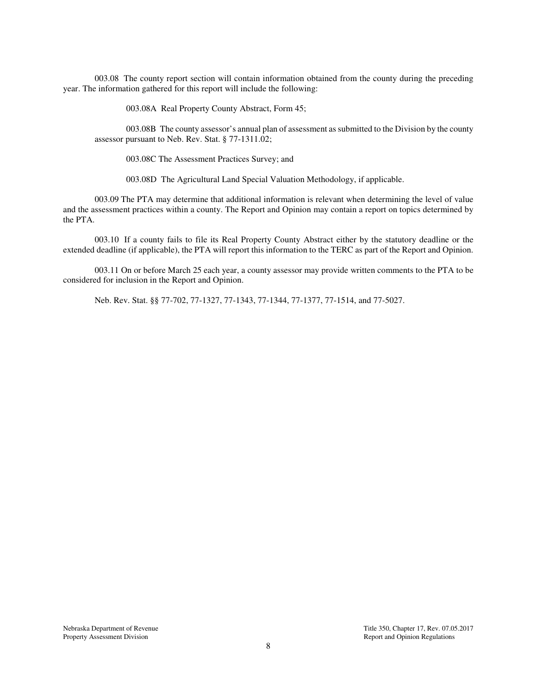003.08 The county report section will contain information obtained from the county during the preceding year. The information gathered for this report will include the following:

003.08A Real Property County Abstract, Form 45;

003.08B The county assessor's annual plan of assessment as submitted to the Division by the county assessor pursuant to Neb. Rev. Stat. § 77-1311.02;

003.08C The Assessment Practices Survey; and

003.08D The Agricultural Land Special Valuation Methodology, if applicable.

003.09 The PTA may determine that additional information is relevant when determining the level of value and the assessment practices within a county. The Report and Opinion may contain a report on topics determined by the PTA.

003.10 If a county fails to file its Real Property County Abstract either by the statutory deadline or the extended deadline (if applicable), the PTA will report this information to the TERC as part of the Report and Opinion.

003.11 On or before March 25 each year, a county assessor may provide written comments to the PTA to be considered for inclusion in the Report and Opinion.

Neb. Rev. Stat. §§ 77-702, 77-1327, 77-1343, 77-1344, 77-1377, 77-1514, and 77-5027.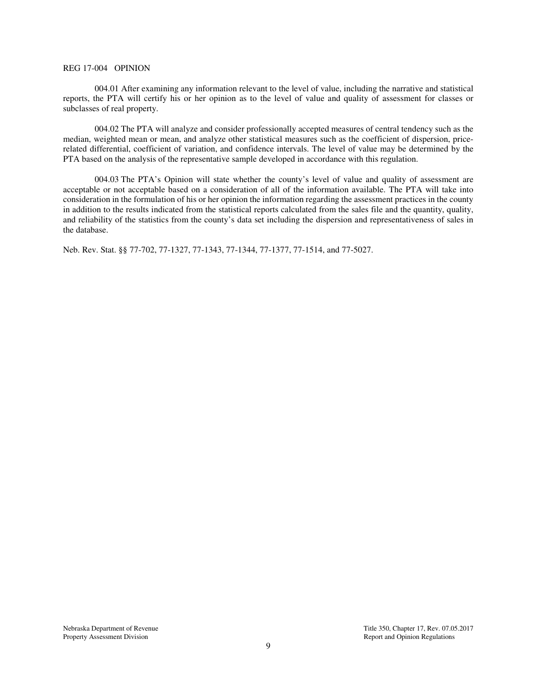#### REG 17-004 OPINION

004.01 After examining any information relevant to the level of value, including the narrative and statistical reports, the PTA will certify his or her opinion as to the level of value and quality of assessment for classes or subclasses of real property.

004.02 The PTA will analyze and consider professionally accepted measures of central tendency such as the median, weighted mean or mean, and analyze other statistical measures such as the coefficient of dispersion, pricerelated differential, coefficient of variation, and confidence intervals. The level of value may be determined by the PTA based on the analysis of the representative sample developed in accordance with this regulation.

004.03 The PTA's Opinion will state whether the county's level of value and quality of assessment are acceptable or not acceptable based on a consideration of all of the information available. The PTA will take into consideration in the formulation of his or her opinion the information regarding the assessment practices in the county in addition to the results indicated from the statistical reports calculated from the sales file and the quantity, quality, and reliability of the statistics from the county's data set including the dispersion and representativeness of sales in the database.

Neb. Rev. Stat. §§ 77-702, 77-1327, 77-1343, 77-1344, 77-1377, 77-1514, and 77-5027.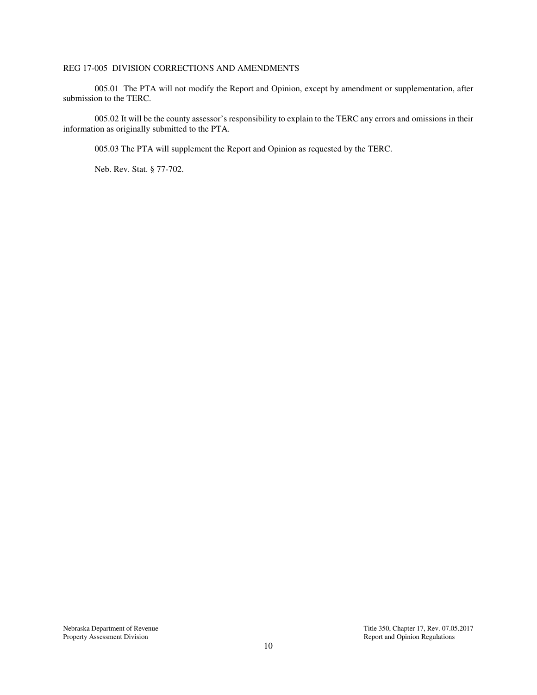## REG 17-005 DIVISION CORRECTIONS AND AMENDMENTS

005.01 The PTA will not modify the Report and Opinion, except by amendment or supplementation, after submission to the TERC.

005.02 It will be the county assessor's responsibility to explain to the TERC any errors and omissions in their information as originally submitted to the PTA.

005.03 The PTA will supplement the Report and Opinion as requested by the TERC.

Neb. Rev. Stat. § 77-702.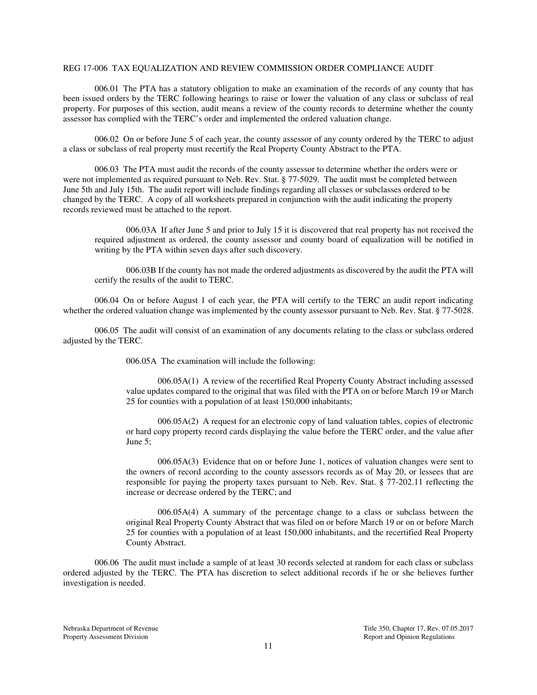### REG 17-006 TAX EQUALIZATION AND REVIEW COMMISSION ORDER COMPLIANCE AUDIT

006.01 The PTA has a statutory obligation to make an examination of the records of any county that has been issued orders by the TERC following hearings to raise or lower the valuation of any class or subclass of real property. For purposes of this section, audit means a review of the county records to determine whether the county assessor has complied with the TERC's order and implemented the ordered valuation change.

006.02 On or before June 5 of each year, the county assessor of any county ordered by the TERC to adjust a class or subclass of real property must recertify the Real Property County Abstract to the PTA.

006.03 The PTA must audit the records of the county assessor to determine whether the orders were or were not implemented as required pursuant to Neb. Rev. Stat. § 77-5029. The audit must be completed between June 5th and July 15th. The audit report will include findings regarding all classes or subclasses ordered to be changed by the TERC. A copy of all worksheets prepared in conjunction with the audit indicating the property records reviewed must be attached to the report.

006.03A If after June 5 and prior to July 15 it is discovered that real property has not received the required adjustment as ordered, the county assessor and county board of equalization will be notified in writing by the PTA within seven days after such discovery.

006.03B If the county has not made the ordered adjustments as discovered by the audit the PTA will certify the results of the audit to TERC.

006.04 On or before August 1 of each year, the PTA will certify to the TERC an audit report indicating whether the ordered valuation change was implemented by the county assessor pursuant to Neb. Rev. Stat. § 77-5028.

006.05 The audit will consist of an examination of any documents relating to the class or subclass ordered adjusted by the TERC.

006.05A The examination will include the following:

006.05A(1) A review of the recertified Real Property County Abstract including assessed value updates compared to the original that was filed with the PTA on or before March 19 or March 25 for counties with a population of at least 150,000 inhabitants;

006.05A(2) A request for an electronic copy of land valuation tables, copies of electronic or hard copy property record cards displaying the value before the TERC order, and the value after June 5;

006.05A(3) Evidence that on or before June 1, notices of valuation changes were sent to the owners of record according to the county assessors records as of May 20, or lessees that are responsible for paying the property taxes pursuant to Neb. Rev. Stat. § 77-202.11 reflecting the increase or decrease ordered by the TERC; and

006.05A(4) A summary of the percentage change to a class or subclass between the original Real Property County Abstract that was filed on or before March 19 or on or before March 25 for counties with a population of at least 150,000 inhabitants, and the recertified Real Property County Abstract.

006.06 The audit must include a sample of at least 30 records selected at random for each class or subclass ordered adjusted by the TERC. The PTA has discretion to select additional records if he or she believes further investigation is needed.